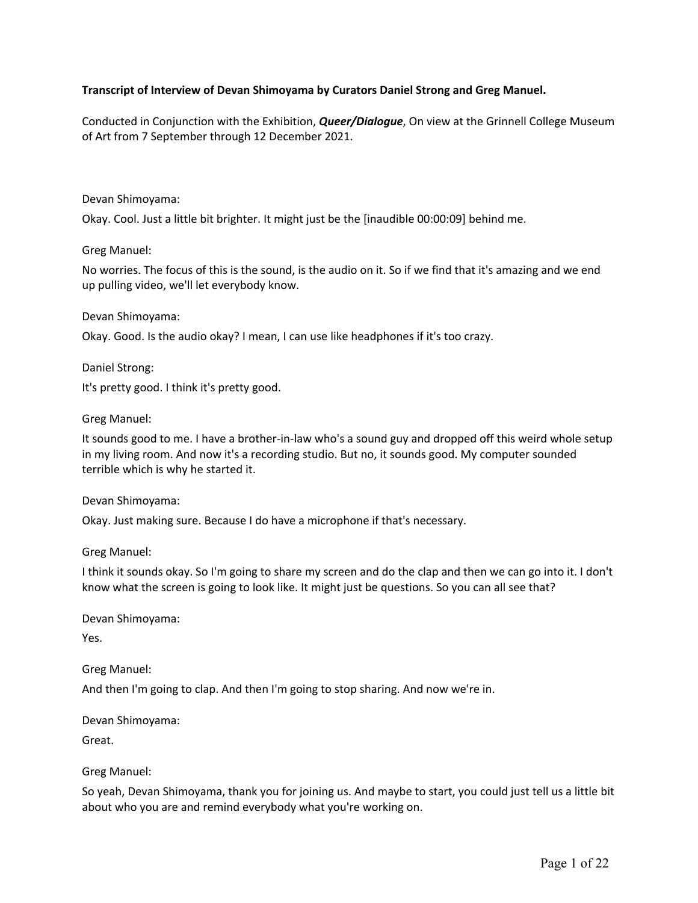## **Transcript of Interview of Devan Shimoyama by Curators Daniel Strong and Greg Manuel.**

Conducted in Conjunction with the Exhibition, *Queer/Dialogue*, On view at the Grinnell College Museum of Art from 7 September through 12 December 2021.

### Devan Shimoyama:

Okay. Cool. Just a little bit brighter. It might just be the [inaudible 00:00:09] behind me.

## Greg Manuel:

No worries. The focus of this is the sound, is the audio on it. So if we find that it's amazing and we end up pulling video, we'll let everybody know.

### Devan Shimoyama:

Okay. Good. Is the audio okay? I mean, I can use like headphones if it's too crazy.

Daniel Strong:

It's pretty good. I think it's pretty good.

## Greg Manuel:

It sounds good to me. I have a brother-in-law who's a sound guy and dropped off this weird whole setup in my living room. And now it's a recording studio. But no, it sounds good. My computer sounded terrible which is why he started it.

## Devan Shimoyama:

Okay. Just making sure. Because I do have a microphone if that's necessary.

## Greg Manuel:

I think it sounds okay. So I'm going to share my screen and do the clap and then we can go into it. I don't know what the screen is going to look like. It might just be questions. So you can all see that?

Devan Shimoyama:

Yes.

## Greg Manuel:

And then I'm going to clap. And then I'm going to stop sharing. And now we're in.

Devan Shimoyama:

Great.

## Greg Manuel:

So yeah, Devan Shimoyama, thank you for joining us. And maybe to start, you could just tell us a little bit about who you are and remind everybody what you're working on.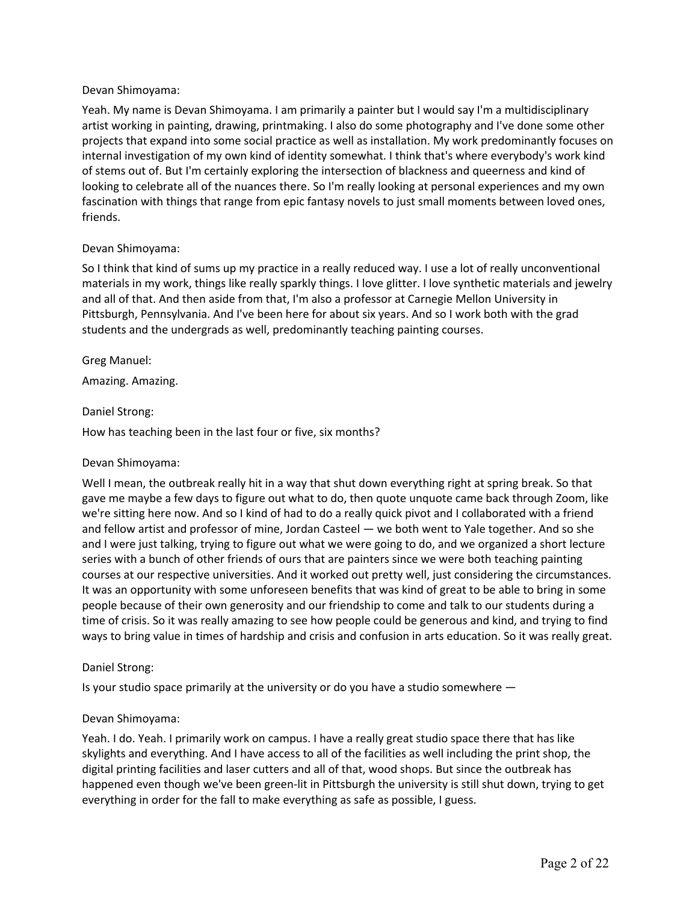### Devan Shimoyama:

Yeah. My name is Devan Shimoyama. I am primarily a painter but I would say I'm a multidisciplinary artist working in painting, drawing, printmaking. I also do some photography and I've done some other projects that expand into some social practice as well as installation. My work predominantly focuses on internal investigation of my own kind of identity somewhat. I think that's where everybody's work kind of stems out of. But I'm certainly exploring the intersection of blackness and queerness and kind of looking to celebrate all of the nuances there. So I'm really looking at personal experiences and my own fascination with things that range from epic fantasy novels to just small moments between loved ones, friends.

## Devan Shimoyama:

So I think that kind of sums up my practice in a really reduced way. I use a lot of really unconventional materials in my work, things like really sparkly things. I love glitter. I love synthetic materials and jewelry and all of that. And then aside from that, I'm also a professor at Carnegie Mellon University in Pittsburgh, Pennsylvania. And I've been here for about six years. And so I work both with the grad students and the undergrads as well, predominantly teaching painting courses.

### Greg Manuel:

Amazing. Amazing.

#### Daniel Strong:

How has teaching been in the last four or five, six months?

#### Devan Shimoyama:

Well I mean, the outbreak really hit in a way that shut down everything right at spring break. So that gave me maybe a few days to figure out what to do, then quote unquote came back through Zoom, like we're sitting here now. And so I kind of had to do a really quick pivot and I collaborated with a friend and fellow artist and professor of mine, Jordan Casteel — we both went to Yale together. And so she and I were just talking, trying to figure out what we were going to do, and we organized a short lecture series with a bunch of other friends of ours that are painters since we were both teaching painting courses at our respective universities. And it worked out pretty well, just considering the circumstances. It was an opportunity with some unforeseen benefits that was kind of great to be able to bring in some people because of their own generosity and our friendship to come and talk to our students during a time of crisis. So it was really amazing to see how people could be generous and kind, and trying to find ways to bring value in times of hardship and crisis and confusion in arts education. So it was really great.

#### Daniel Strong:

Is your studio space primarily at the university or do you have a studio somewhere —

#### Devan Shimoyama:

Yeah. I do. Yeah. I primarily work on campus. I have a really great studio space there that has like skylights and everything. And I have access to all of the facilities as well including the print shop, the digital printing facilities and laser cutters and all of that, wood shops. But since the outbreak has happened even though we've been green-lit in Pittsburgh the university is still shut down, trying to get everything in order for the fall to make everything as safe as possible, I guess.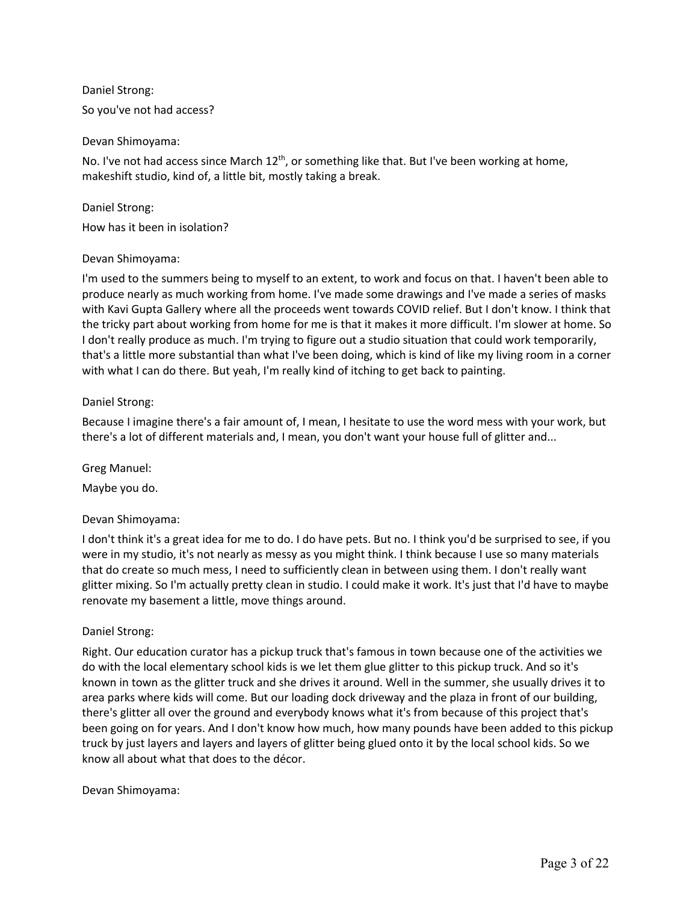Daniel Strong: So you've not had access?

### Devan Shimoyama:

No. I've not had access since March  $12<sup>th</sup>$ , or something like that. But I've been working at home, makeshift studio, kind of, a little bit, mostly taking a break.

### Daniel Strong:

How has it been in isolation?

### Devan Shimoyama:

I'm used to the summers being to myself to an extent, to work and focus on that. I haven't been able to produce nearly as much working from home. I've made some drawings and I've made a series of masks with Kavi Gupta Gallery where all the proceeds went towards COVID relief. But I don't know. I think that the tricky part about working from home for me is that it makes it more difficult. I'm slower at home. So I don't really produce as much. I'm trying to figure out a studio situation that could work temporarily, that's a little more substantial than what I've been doing, which is kind of like my living room in a corner with what I can do there. But yeah, I'm really kind of itching to get back to painting.

### Daniel Strong:

Because I imagine there's a fair amount of, I mean, I hesitate to use the word mess with your work, but there's a lot of different materials and, I mean, you don't want your house full of glitter and...

Greg Manuel:

Maybe you do.

## Devan Shimoyama:

I don't think it's a great idea for me to do. I do have pets. But no. I think you'd be surprised to see, if you were in my studio, it's not nearly as messy as you might think. I think because I use so many materials that do create so much mess, I need to sufficiently clean in between using them. I don't really want glitter mixing. So I'm actually pretty clean in studio. I could make it work. It's just that I'd have to maybe renovate my basement a little, move things around.

#### Daniel Strong:

Right. Our education curator has a pickup truck that's famous in town because one of the activities we do with the local elementary school kids is we let them glue glitter to this pickup truck. And so it's known in town as the glitter truck and she drives it around. Well in the summer, she usually drives it to area parks where kids will come. But our loading dock driveway and the plaza in front of our building, there's glitter all over the ground and everybody knows what it's from because of this project that's been going on for years. And I don't know how much, how many pounds have been added to this pickup truck by just layers and layers and layers of glitter being glued onto it by the local school kids. So we know all about what that does to the décor.

#### Devan Shimoyama: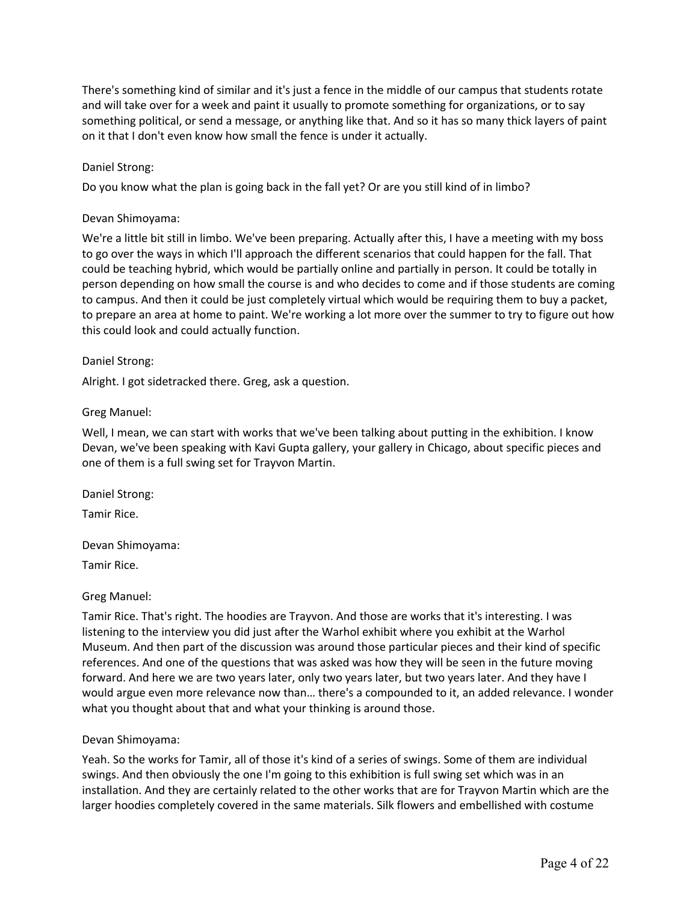There's something kind of similar and it's just a fence in the middle of our campus that students rotate and will take over for a week and paint it usually to promote something for organizations, or to say something political, or send a message, or anything like that. And so it has so many thick layers of paint on it that I don't even know how small the fence is under it actually.

### Daniel Strong:

Do you know what the plan is going back in the fall yet? Or are you still kind of in limbo?

#### Devan Shimoyama:

We're a little bit still in limbo. We've been preparing. Actually after this, I have a meeting with my boss to go over the ways in which I'll approach the different scenarios that could happen for the fall. That could be teaching hybrid, which would be partially online and partially in person. It could be totally in person depending on how small the course is and who decides to come and if those students are coming to campus. And then it could be just completely virtual which would be requiring them to buy a packet, to prepare an area at home to paint. We're working a lot more over the summer to try to figure out how this could look and could actually function.

### Daniel Strong:

Alright. I got sidetracked there. Greg, ask a question.

### Greg Manuel:

Well, I mean, we can start with works that we've been talking about putting in the exhibition. I know Devan, we've been speaking with Kavi Gupta gallery, your gallery in Chicago, about specific pieces and one of them is a full swing set for Trayvon Martin.

Daniel Strong: Tamir Rice.

Devan Shimoyama:

Tamir Rice.

## Greg Manuel:

Tamir Rice. That's right. The hoodies are Trayvon. And those are works that it's interesting. I was listening to the interview you did just after the Warhol exhibit where you exhibit at the Warhol Museum. And then part of the discussion was around those particular pieces and their kind of specific references. And one of the questions that was asked was how they will be seen in the future moving forward. And here we are two years later, only two years later, but two years later. And they have I would argue even more relevance now than… there's a compounded to it, an added relevance. I wonder what you thought about that and what your thinking is around those.

#### Devan Shimoyama:

Yeah. So the works for Tamir, all of those it's kind of a series of swings. Some of them are individual swings. And then obviously the one I'm going to this exhibition is full swing set which was in an installation. And they are certainly related to the other works that are for Trayvon Martin which are the larger hoodies completely covered in the same materials. Silk flowers and embellished with costume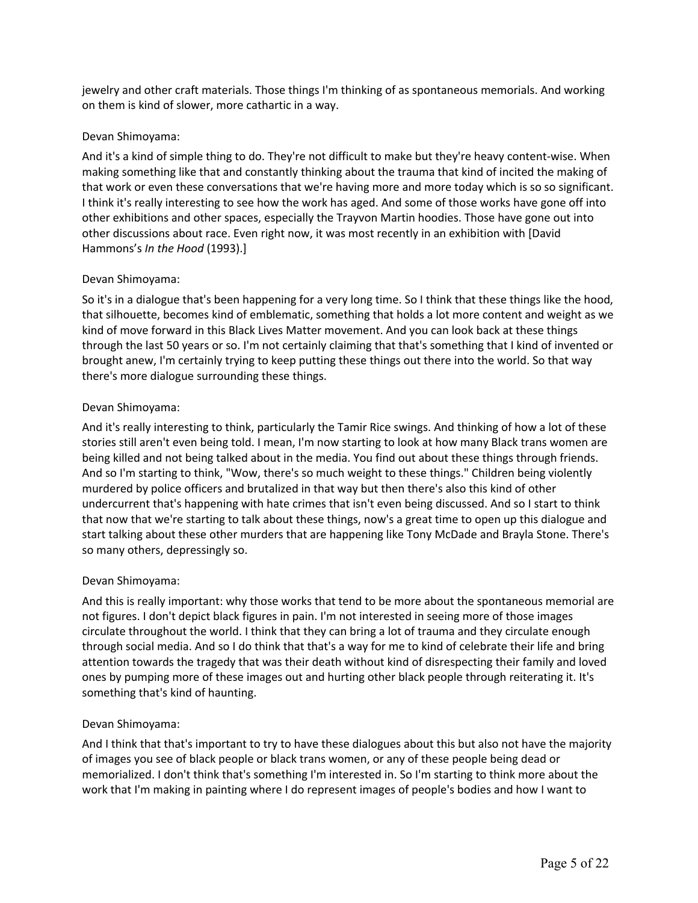jewelry and other craft materials. Those things I'm thinking of as spontaneous memorials. And working on them is kind of slower, more cathartic in a way.

## Devan Shimoyama:

And it's a kind of simple thing to do. They're not difficult to make but they're heavy content-wise. When making something like that and constantly thinking about the trauma that kind of incited the making of that work or even these conversations that we're having more and more today which is so so significant. I think it's really interesting to see how the work has aged. And some of those works have gone off into other exhibitions and other spaces, especially the Trayvon Martin hoodies. Those have gone out into other discussions about race. Even right now, it was most recently in an exhibition with [David Hammons's *In the Hood* (1993).]

### Devan Shimoyama:

So it's in a dialogue that's been happening for a very long time. So I think that these things like the hood, that silhouette, becomes kind of emblematic, something that holds a lot more content and weight as we kind of move forward in this Black Lives Matter movement. And you can look back at these things through the last 50 years or so. I'm not certainly claiming that that's something that I kind of invented or brought anew, I'm certainly trying to keep putting these things out there into the world. So that way there's more dialogue surrounding these things.

## Devan Shimoyama:

And it's really interesting to think, particularly the Tamir Rice swings. And thinking of how a lot of these stories still aren't even being told. I mean, I'm now starting to look at how many Black trans women are being killed and not being talked about in the media. You find out about these things through friends. And so I'm starting to think, "Wow, there's so much weight to these things." Children being violently murdered by police officers and brutalized in that way but then there's also this kind of other undercurrent that's happening with hate crimes that isn't even being discussed. And so I start to think that now that we're starting to talk about these things, now's a great time to open up this dialogue and start talking about these other murders that are happening like Tony McDade and Brayla Stone. There's so many others, depressingly so.

#### Devan Shimoyama:

And this is really important: why those works that tend to be more about the spontaneous memorial are not figures. I don't depict black figures in pain. I'm not interested in seeing more of those images circulate throughout the world. I think that they can bring a lot of trauma and they circulate enough through social media. And so I do think that that's a way for me to kind of celebrate their life and bring attention towards the tragedy that was their death without kind of disrespecting their family and loved ones by pumping more of these images out and hurting other black people through reiterating it. It's something that's kind of haunting.

## Devan Shimoyama:

And I think that that's important to try to have these dialogues about this but also not have the majority of images you see of black people or black trans women, or any of these people being dead or memorialized. I don't think that's something I'm interested in. So I'm starting to think more about the work that I'm making in painting where I do represent images of people's bodies and how I want to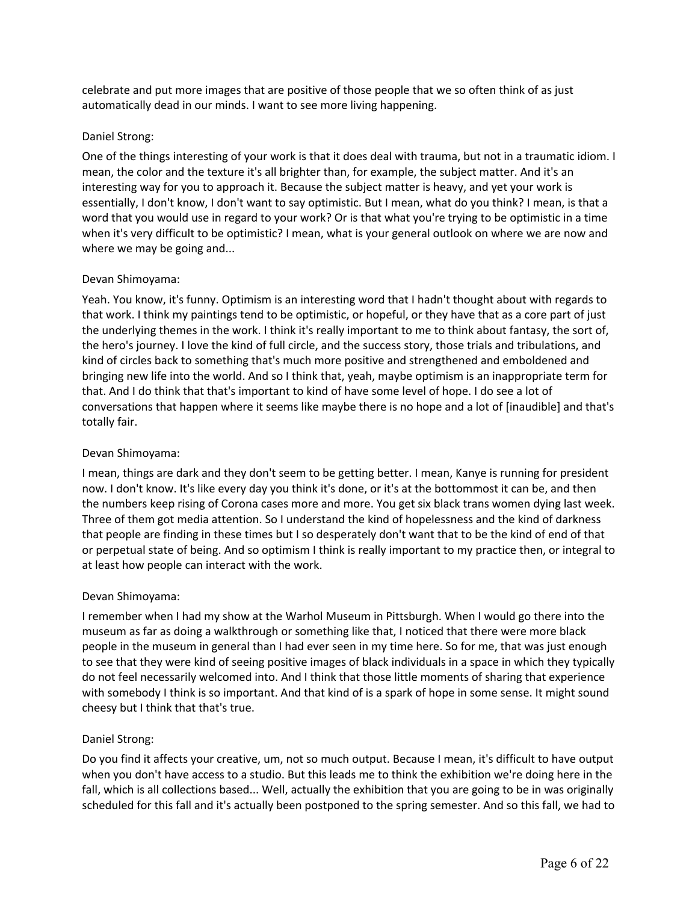celebrate and put more images that are positive of those people that we so often think of as just automatically dead in our minds. I want to see more living happening.

## Daniel Strong:

One of the things interesting of your work is that it does deal with trauma, but not in a traumatic idiom. I mean, the color and the texture it's all brighter than, for example, the subject matter. And it's an interesting way for you to approach it. Because the subject matter is heavy, and yet your work is essentially, I don't know, I don't want to say optimistic. But I mean, what do you think? I mean, is that a word that you would use in regard to your work? Or is that what you're trying to be optimistic in a time when it's very difficult to be optimistic? I mean, what is your general outlook on where we are now and where we may be going and...

### Devan Shimoyama:

Yeah. You know, it's funny. Optimism is an interesting word that I hadn't thought about with regards to that work. I think my paintings tend to be optimistic, or hopeful, or they have that as a core part of just the underlying themes in the work. I think it's really important to me to think about fantasy, the sort of, the hero's journey. I love the kind of full circle, and the success story, those trials and tribulations, and kind of circles back to something that's much more positive and strengthened and emboldened and bringing new life into the world. And so I think that, yeah, maybe optimism is an inappropriate term for that. And I do think that that's important to kind of have some level of hope. I do see a lot of conversations that happen where it seems like maybe there is no hope and a lot of [inaudible] and that's totally fair.

### Devan Shimoyama:

I mean, things are dark and they don't seem to be getting better. I mean, Kanye is running for president now. I don't know. It's like every day you think it's done, or it's at the bottommost it can be, and then the numbers keep rising of Corona cases more and more. You get six black trans women dying last week. Three of them got media attention. So I understand the kind of hopelessness and the kind of darkness that people are finding in these times but I so desperately don't want that to be the kind of end of that or perpetual state of being. And so optimism I think is really important to my practice then, or integral to at least how people can interact with the work.

## Devan Shimoyama:

I remember when I had my show at the Warhol Museum in Pittsburgh. When I would go there into the museum as far as doing a walkthrough or something like that, I noticed that there were more black people in the museum in general than I had ever seen in my time here. So for me, that was just enough to see that they were kind of seeing positive images of black individuals in a space in which they typically do not feel necessarily welcomed into. And I think that those little moments of sharing that experience with somebody I think is so important. And that kind of is a spark of hope in some sense. It might sound cheesy but I think that that's true.

## Daniel Strong:

Do you find it affects your creative, um, not so much output. Because I mean, it's difficult to have output when you don't have access to a studio. But this leads me to think the exhibition we're doing here in the fall, which is all collections based... Well, actually the exhibition that you are going to be in was originally scheduled for this fall and it's actually been postponed to the spring semester. And so this fall, we had to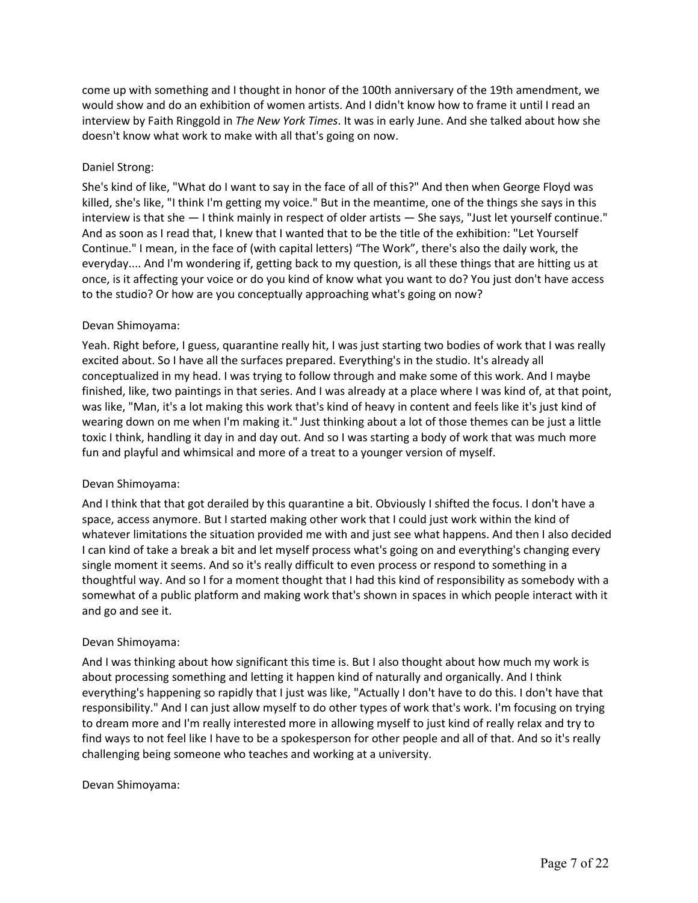come up with something and I thought in honor of the 100th anniversary of the 19th amendment, we would show and do an exhibition of women artists. And I didn't know how to frame it until I read an interview by Faith Ringgold in *The New York Times*. It was in early June. And she talked about how she doesn't know what work to make with all that's going on now.

## Daniel Strong:

She's kind of like, "What do I want to say in the face of all of this?" And then when George Floyd was killed, she's like, "I think I'm getting my voice." But in the meantime, one of the things she says in this interview is that she — I think mainly in respect of older artists — She says, "Just let yourself continue." And as soon as I read that, I knew that I wanted that to be the title of the exhibition: "Let Yourself Continue." I mean, in the face of (with capital letters) "The Work", there's also the daily work, the everyday.... And I'm wondering if, getting back to my question, is all these things that are hitting us at once, is it affecting your voice or do you kind of know what you want to do? You just don't have access to the studio? Or how are you conceptually approaching what's going on now?

## Devan Shimoyama:

Yeah. Right before, I guess, quarantine really hit, I was just starting two bodies of work that I was really excited about. So I have all the surfaces prepared. Everything's in the studio. It's already all conceptualized in my head. I was trying to follow through and make some of this work. And I maybe finished, like, two paintings in that series. And I was already at a place where I was kind of, at that point, was like, "Man, it's a lot making this work that's kind of heavy in content and feels like it's just kind of wearing down on me when I'm making it." Just thinking about a lot of those themes can be just a little toxic I think, handling it day in and day out. And so I was starting a body of work that was much more fun and playful and whimsical and more of a treat to a younger version of myself.

## Devan Shimoyama:

And I think that that got derailed by this quarantine a bit. Obviously I shifted the focus. I don't have a space, access anymore. But I started making other work that I could just work within the kind of whatever limitations the situation provided me with and just see what happens. And then I also decided I can kind of take a break a bit and let myself process what's going on and everything's changing every single moment it seems. And so it's really difficult to even process or respond to something in a thoughtful way. And so I for a moment thought that I had this kind of responsibility as somebody with a somewhat of a public platform and making work that's shown in spaces in which people interact with it and go and see it.

## Devan Shimoyama:

And I was thinking about how significant this time is. But I also thought about how much my work is about processing something and letting it happen kind of naturally and organically. And I think everything's happening so rapidly that I just was like, "Actually I don't have to do this. I don't have that responsibility." And I can just allow myself to do other types of work that's work. I'm focusing on trying to dream more and I'm really interested more in allowing myself to just kind of really relax and try to find ways to not feel like I have to be a spokesperson for other people and all of that. And so it's really challenging being someone who teaches and working at a university.

#### Devan Shimoyama: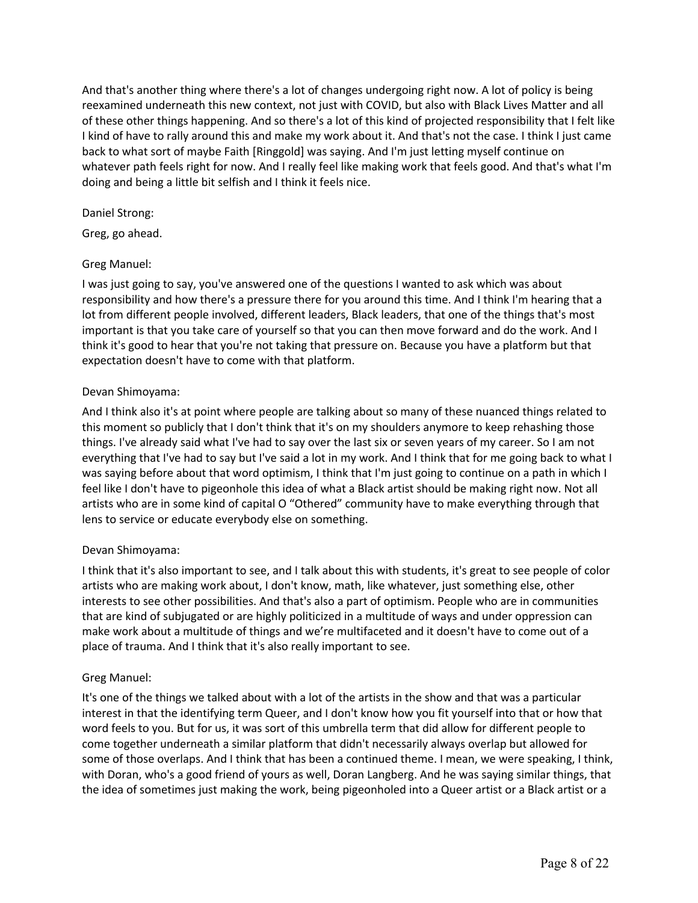And that's another thing where there's a lot of changes undergoing right now. A lot of policy is being reexamined underneath this new context, not just with COVID, but also with Black Lives Matter and all of these other things happening. And so there's a lot of this kind of projected responsibility that I felt like I kind of have to rally around this and make my work about it. And that's not the case. I think I just came back to what sort of maybe Faith [Ringgold] was saying. And I'm just letting myself continue on whatever path feels right for now. And I really feel like making work that feels good. And that's what I'm doing and being a little bit selfish and I think it feels nice.

## Daniel Strong:

Greg, go ahead.

# Greg Manuel:

I was just going to say, you've answered one of the questions I wanted to ask which was about responsibility and how there's a pressure there for you around this time. And I think I'm hearing that a lot from different people involved, different leaders, Black leaders, that one of the things that's most important is that you take care of yourself so that you can then move forward and do the work. And I think it's good to hear that you're not taking that pressure on. Because you have a platform but that expectation doesn't have to come with that platform.

# Devan Shimoyama:

And I think also it's at point where people are talking about so many of these nuanced things related to this moment so publicly that I don't think that it's on my shoulders anymore to keep rehashing those things. I've already said what I've had to say over the last six or seven years of my career. So I am not everything that I've had to say but I've said a lot in my work. And I think that for me going back to what I was saying before about that word optimism, I think that I'm just going to continue on a path in which I feel like I don't have to pigeonhole this idea of what a Black artist should be making right now. Not all artists who are in some kind of capital O "Othered" community have to make everything through that lens to service or educate everybody else on something.

## Devan Shimoyama:

I think that it's also important to see, and I talk about this with students, it's great to see people of color artists who are making work about, I don't know, math, like whatever, just something else, other interests to see other possibilities. And that's also a part of optimism. People who are in communities that are kind of subjugated or are highly politicized in a multitude of ways and under oppression can make work about a multitude of things and we're multifaceted and it doesn't have to come out of a place of trauma. And I think that it's also really important to see.

## Greg Manuel:

It's one of the things we talked about with a lot of the artists in the show and that was a particular interest in that the identifying term Queer, and I don't know how you fit yourself into that or how that word feels to you. But for us, it was sort of this umbrella term that did allow for different people to come together underneath a similar platform that didn't necessarily always overlap but allowed for some of those overlaps. And I think that has been a continued theme. I mean, we were speaking, I think, with Doran, who's a good friend of yours as well, Doran Langberg. And he was saying similar things, that the idea of sometimes just making the work, being pigeonholed into a Queer artist or a Black artist or a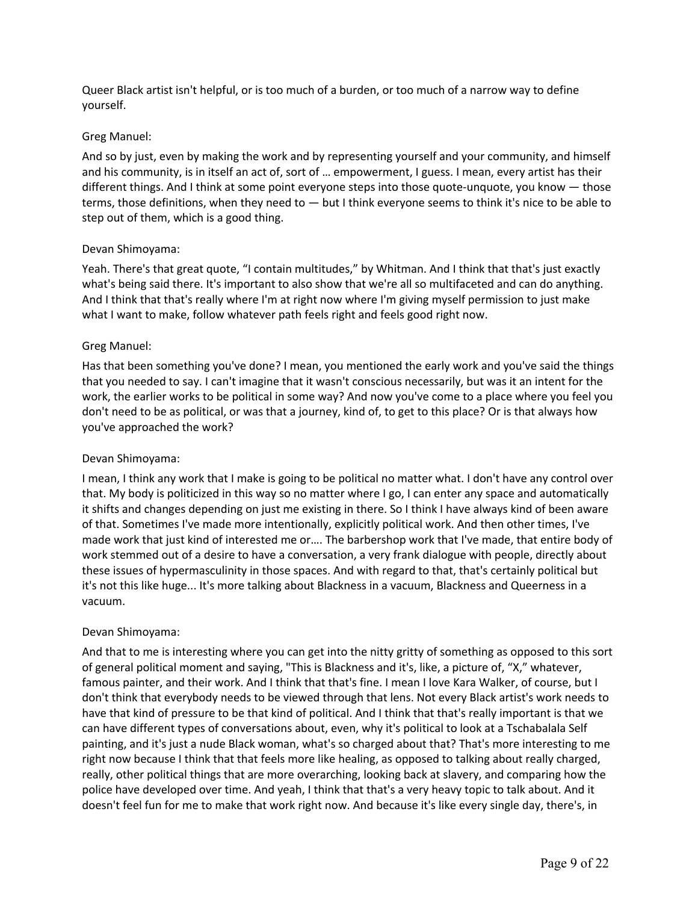Queer Black artist isn't helpful, or is too much of a burden, or too much of a narrow way to define yourself.

## Greg Manuel:

And so by just, even by making the work and by representing yourself and your community, and himself and his community, is in itself an act of, sort of … empowerment, I guess. I mean, every artist has their different things. And I think at some point everyone steps into those quote-unquote, you know — those terms, those definitions, when they need to — but I think everyone seems to think it's nice to be able to step out of them, which is a good thing.

### Devan Shimoyama:

Yeah. There's that great quote, "I contain multitudes," by Whitman. And I think that that's just exactly what's being said there. It's important to also show that we're all so multifaceted and can do anything. And I think that that's really where I'm at right now where I'm giving myself permission to just make what I want to make, follow whatever path feels right and feels good right now.

### Greg Manuel:

Has that been something you've done? I mean, you mentioned the early work and you've said the things that you needed to say. I can't imagine that it wasn't conscious necessarily, but was it an intent for the work, the earlier works to be political in some way? And now you've come to a place where you feel you don't need to be as political, or was that a journey, kind of, to get to this place? Or is that always how you've approached the work?

### Devan Shimoyama:

I mean, I think any work that I make is going to be political no matter what. I don't have any control over that. My body is politicized in this way so no matter where I go, I can enter any space and automatically it shifts and changes depending on just me existing in there. So I think I have always kind of been aware of that. Sometimes I've made more intentionally, explicitly political work. And then other times, I've made work that just kind of interested me or…. The barbershop work that I've made, that entire body of work stemmed out of a desire to have a conversation, a very frank dialogue with people, directly about these issues of hypermasculinity in those spaces. And with regard to that, that's certainly political but it's not this like huge... It's more talking about Blackness in a vacuum, Blackness and Queerness in a vacuum.

#### Devan Shimoyama:

And that to me is interesting where you can get into the nitty gritty of something as opposed to this sort of general political moment and saying, "This is Blackness and it's, like, a picture of, "X," whatever, famous painter, and their work. And I think that that's fine. I mean I love Kara Walker, of course, but I don't think that everybody needs to be viewed through that lens. Not every Black artist's work needs to have that kind of pressure to be that kind of political. And I think that that's really important is that we can have different types of conversations about, even, why it's political to look at a Tschabalala Self painting, and it's just a nude Black woman, what's so charged about that? That's more interesting to me right now because I think that that feels more like healing, as opposed to talking about really charged, really, other political things that are more overarching, looking back at slavery, and comparing how the police have developed over time. And yeah, I think that that's a very heavy topic to talk about. And it doesn't feel fun for me to make that work right now. And because it's like every single day, there's, in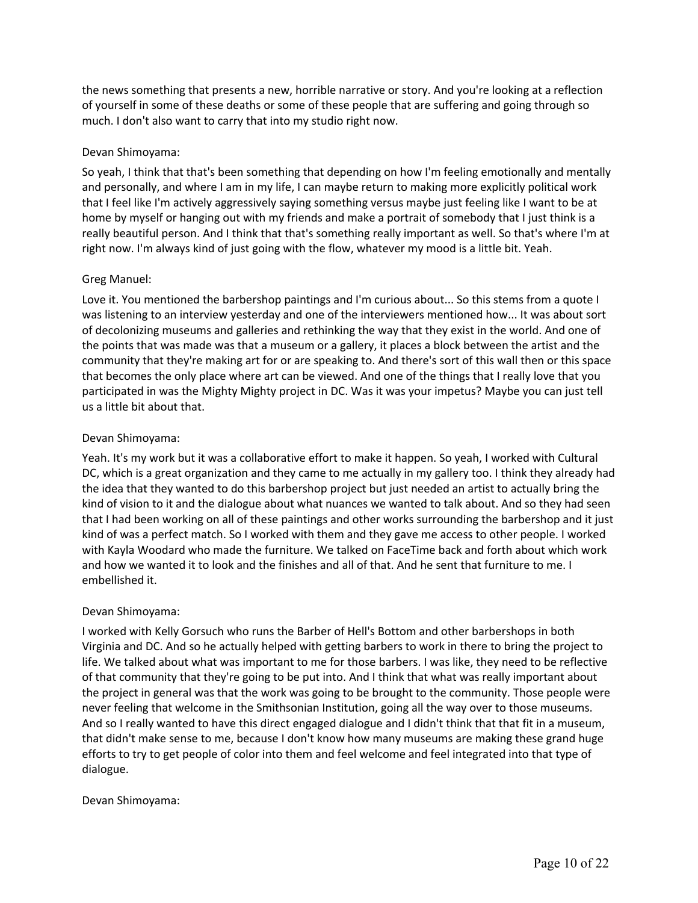the news something that presents a new, horrible narrative or story. And you're looking at a reflection of yourself in some of these deaths or some of these people that are suffering and going through so much. I don't also want to carry that into my studio right now.

## Devan Shimoyama:

So yeah, I think that that's been something that depending on how I'm feeling emotionally and mentally and personally, and where I am in my life, I can maybe return to making more explicitly political work that I feel like I'm actively aggressively saying something versus maybe just feeling like I want to be at home by myself or hanging out with my friends and make a portrait of somebody that I just think is a really beautiful person. And I think that that's something really important as well. So that's where I'm at right now. I'm always kind of just going with the flow, whatever my mood is a little bit. Yeah.

### Greg Manuel:

Love it. You mentioned the barbershop paintings and I'm curious about... So this stems from a quote I was listening to an interview yesterday and one of the interviewers mentioned how... It was about sort of decolonizing museums and galleries and rethinking the way that they exist in the world. And one of the points that was made was that a museum or a gallery, it places a block between the artist and the community that they're making art for or are speaking to. And there's sort of this wall then or this space that becomes the only place where art can be viewed. And one of the things that I really love that you participated in was the Mighty Mighty project in DC. Was it was your impetus? Maybe you can just tell us a little bit about that.

### Devan Shimoyama:

Yeah. It's my work but it was a collaborative effort to make it happen. So yeah, I worked with Cultural DC, which is a great organization and they came to me actually in my gallery too. I think they already had the idea that they wanted to do this barbershop project but just needed an artist to actually bring the kind of vision to it and the dialogue about what nuances we wanted to talk about. And so they had seen that I had been working on all of these paintings and other works surrounding the barbershop and it just kind of was a perfect match. So I worked with them and they gave me access to other people. I worked with Kayla Woodard who made the furniture. We talked on FaceTime back and forth about which work and how we wanted it to look and the finishes and all of that. And he sent that furniture to me. I embellished it.

## Devan Shimoyama:

I worked with Kelly Gorsuch who runs the Barber of Hell's Bottom and other barbershops in both Virginia and DC. And so he actually helped with getting barbers to work in there to bring the project to life. We talked about what was important to me for those barbers. I was like, they need to be reflective of that community that they're going to be put into. And I think that what was really important about the project in general was that the work was going to be brought to the community. Those people were never feeling that welcome in the Smithsonian Institution, going all the way over to those museums. And so I really wanted to have this direct engaged dialogue and I didn't think that that fit in a museum, that didn't make sense to me, because I don't know how many museums are making these grand huge efforts to try to get people of color into them and feel welcome and feel integrated into that type of dialogue.

#### Devan Shimoyama: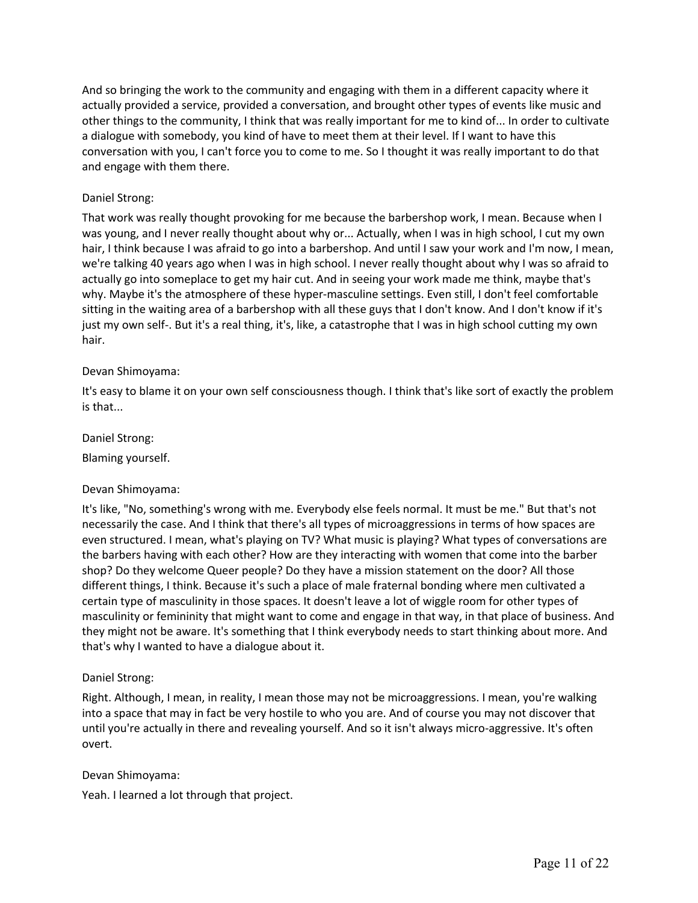And so bringing the work to the community and engaging with them in a different capacity where it actually provided a service, provided a conversation, and brought other types of events like music and other things to the community, I think that was really important for me to kind of... In order to cultivate a dialogue with somebody, you kind of have to meet them at their level. If I want to have this conversation with you, I can't force you to come to me. So I thought it was really important to do that and engage with them there.

## Daniel Strong:

That work was really thought provoking for me because the barbershop work, I mean. Because when I was young, and I never really thought about why or... Actually, when I was in high school, I cut my own hair, I think because I was afraid to go into a barbershop. And until I saw your work and I'm now, I mean, we're talking 40 years ago when I was in high school. I never really thought about why I was so afraid to actually go into someplace to get my hair cut. And in seeing your work made me think, maybe that's why. Maybe it's the atmosphere of these hyper-masculine settings. Even still, I don't feel comfortable sitting in the waiting area of a barbershop with all these guys that I don't know. And I don't know if it's just my own self-. But it's a real thing, it's, like, a catastrophe that I was in high school cutting my own hair.

## Devan Shimoyama:

It's easy to blame it on your own self consciousness though. I think that's like sort of exactly the problem is that...

Daniel Strong:

Blaming yourself.

## Devan Shimoyama:

It's like, "No, something's wrong with me. Everybody else feels normal. It must be me." But that's not necessarily the case. And I think that there's all types of microaggressions in terms of how spaces are even structured. I mean, what's playing on TV? What music is playing? What types of conversations are the barbers having with each other? How are they interacting with women that come into the barber shop? Do they welcome Queer people? Do they have a mission statement on the door? All those different things, I think. Because it's such a place of male fraternal bonding where men cultivated a certain type of masculinity in those spaces. It doesn't leave a lot of wiggle room for other types of masculinity or femininity that might want to come and engage in that way, in that place of business. And they might not be aware. It's something that I think everybody needs to start thinking about more. And that's why I wanted to have a dialogue about it.

## Daniel Strong:

Right. Although, I mean, in reality, I mean those may not be microaggressions. I mean, you're walking into a space that may in fact be very hostile to who you are. And of course you may not discover that until you're actually in there and revealing yourself. And so it isn't always micro-aggressive. It's often overt.

Devan Shimoyama:

Yeah. I learned a lot through that project.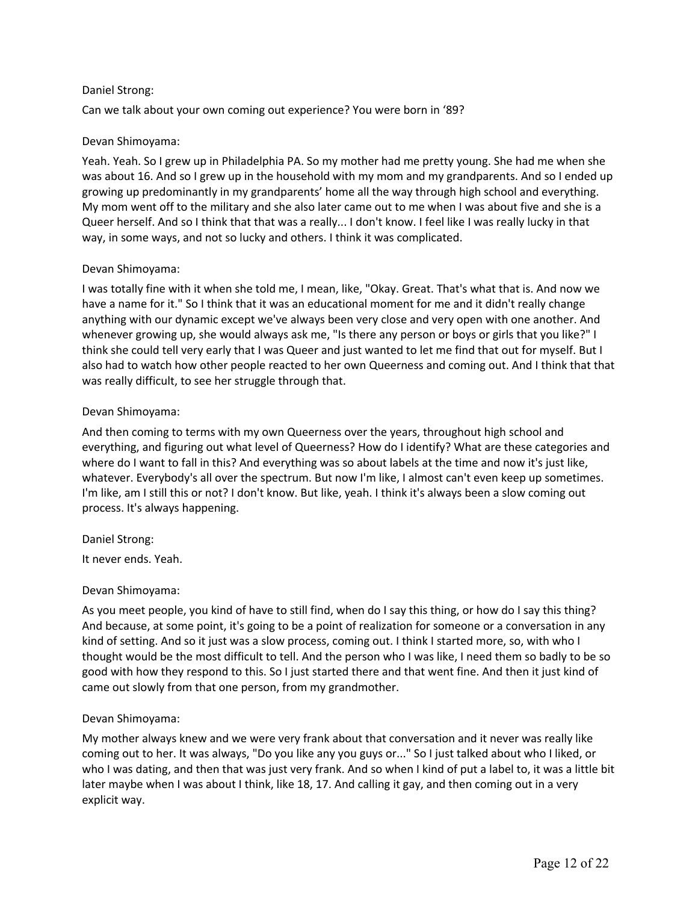## Daniel Strong:

Can we talk about your own coming out experience? You were born in '89?

### Devan Shimoyama:

Yeah. Yeah. So I grew up in Philadelphia PA. So my mother had me pretty young. She had me when she was about 16. And so I grew up in the household with my mom and my grandparents. And so I ended up growing up predominantly in my grandparents' home all the way through high school and everything. My mom went off to the military and she also later came out to me when I was about five and she is a Queer herself. And so I think that that was a really... I don't know. I feel like I was really lucky in that way, in some ways, and not so lucky and others. I think it was complicated.

### Devan Shimoyama:

I was totally fine with it when she told me, I mean, like, "Okay. Great. That's what that is. And now we have a name for it." So I think that it was an educational moment for me and it didn't really change anything with our dynamic except we've always been very close and very open with one another. And whenever growing up, she would always ask me, "Is there any person or boys or girls that you like?" I think she could tell very early that I was Queer and just wanted to let me find that out for myself. But I also had to watch how other people reacted to her own Queerness and coming out. And I think that that was really difficult, to see her struggle through that.

### Devan Shimoyama:

And then coming to terms with my own Queerness over the years, throughout high school and everything, and figuring out what level of Queerness? How do I identify? What are these categories and where do I want to fall in this? And everything was so about labels at the time and now it's just like, whatever. Everybody's all over the spectrum. But now I'm like, I almost can't even keep up sometimes. I'm like, am I still this or not? I don't know. But like, yeah. I think it's always been a slow coming out process. It's always happening.

Daniel Strong:

It never ends. Yeah.

## Devan Shimoyama:

As you meet people, you kind of have to still find, when do I say this thing, or how do I say this thing? And because, at some point, it's going to be a point of realization for someone or a conversation in any kind of setting. And so it just was a slow process, coming out. I think I started more, so, with who I thought would be the most difficult to tell. And the person who I was like, I need them so badly to be so good with how they respond to this. So I just started there and that went fine. And then it just kind of came out slowly from that one person, from my grandmother.

#### Devan Shimoyama:

My mother always knew and we were very frank about that conversation and it never was really like coming out to her. It was always, "Do you like any you guys or..." So I just talked about who I liked, or who I was dating, and then that was just very frank. And so when I kind of put a label to, it was a little bit later maybe when I was about I think, like 18, 17. And calling it gay, and then coming out in a very explicit way.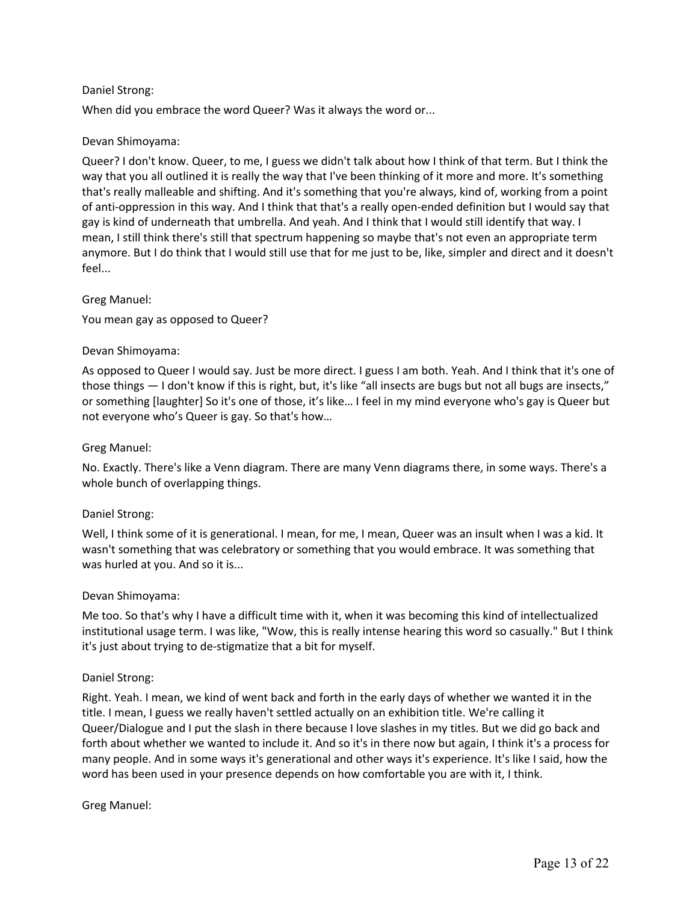## Daniel Strong:

When did you embrace the word Queer? Was it always the word or...

## Devan Shimoyama:

Queer? I don't know. Queer, to me, I guess we didn't talk about how I think of that term. But I think the way that you all outlined it is really the way that I've been thinking of it more and more. It's something that's really malleable and shifting. And it's something that you're always, kind of, working from a point of anti-oppression in this way. And I think that that's a really open-ended definition but I would say that gay is kind of underneath that umbrella. And yeah. And I think that I would still identify that way. I mean, I still think there's still that spectrum happening so maybe that's not even an appropriate term anymore. But I do think that I would still use that for me just to be, like, simpler and direct and it doesn't feel...

## Greg Manuel:

You mean gay as opposed to Queer?

## Devan Shimoyama:

As opposed to Queer I would say. Just be more direct. I guess I am both. Yeah. And I think that it's one of those things — I don't know if this is right, but, it's like "all insects are bugs but not all bugs are insects," or something [laughter] So it's one of those, it's like… I feel in my mind everyone who's gay is Queer but not everyone who's Queer is gay. So that's how…

### Greg Manuel:

No. Exactly. There's like a Venn diagram. There are many Venn diagrams there, in some ways. There's a whole bunch of overlapping things.

## Daniel Strong:

Well, I think some of it is generational. I mean, for me, I mean, Queer was an insult when I was a kid. It wasn't something that was celebratory or something that you would embrace. It was something that was hurled at you. And so it is...

## Devan Shimoyama:

Me too. So that's why I have a difficult time with it, when it was becoming this kind of intellectualized institutional usage term. I was like, "Wow, this is really intense hearing this word so casually." But I think it's just about trying to de-stigmatize that a bit for myself.

## Daniel Strong:

Right. Yeah. I mean, we kind of went back and forth in the early days of whether we wanted it in the title. I mean, I guess we really haven't settled actually on an exhibition title. We're calling it Queer/Dialogue and I put the slash in there because I love slashes in my titles. But we did go back and forth about whether we wanted to include it. And so it's in there now but again, I think it's a process for many people. And in some ways it's generational and other ways it's experience. It's like I said, how the word has been used in your presence depends on how comfortable you are with it, I think.

#### Greg Manuel: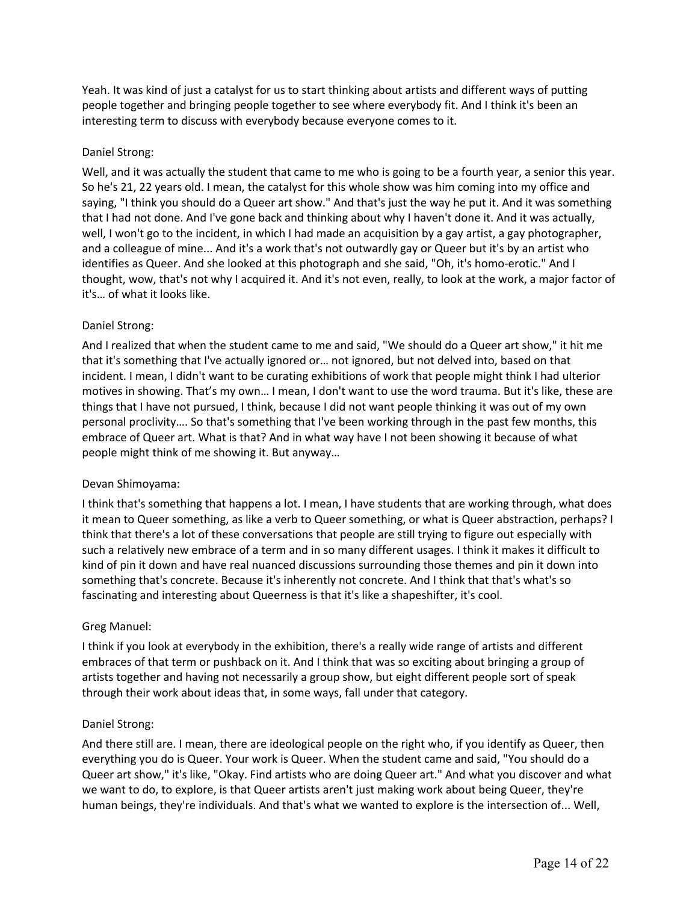Yeah. It was kind of just a catalyst for us to start thinking about artists and different ways of putting people together and bringing people together to see where everybody fit. And I think it's been an interesting term to discuss with everybody because everyone comes to it.

### Daniel Strong:

Well, and it was actually the student that came to me who is going to be a fourth year, a senior this year. So he's 21, 22 years old. I mean, the catalyst for this whole show was him coming into my office and saying, "I think you should do a Queer art show." And that's just the way he put it. And it was something that I had not done. And I've gone back and thinking about why I haven't done it. And it was actually, well, I won't go to the incident, in which I had made an acquisition by a gay artist, a gay photographer, and a colleague of mine... And it's a work that's not outwardly gay or Queer but it's by an artist who identifies as Queer. And she looked at this photograph and she said, "Oh, it's homo-erotic." And I thought, wow, that's not why I acquired it. And it's not even, really, to look at the work, a major factor of it's… of what it looks like.

### Daniel Strong:

And I realized that when the student came to me and said, "We should do a Queer art show," it hit me that it's something that I've actually ignored or… not ignored, but not delved into, based on that incident. I mean, I didn't want to be curating exhibitions of work that people might think I had ulterior motives in showing. That's my own… I mean, I don't want to use the word trauma. But it's like, these are things that I have not pursued, I think, because I did not want people thinking it was out of my own personal proclivity…. So that's something that I've been working through in the past few months, this embrace of Queer art. What is that? And in what way have I not been showing it because of what people might think of me showing it. But anyway…

#### Devan Shimoyama:

I think that's something that happens a lot. I mean, I have students that are working through, what does it mean to Queer something, as like a verb to Queer something, or what is Queer abstraction, perhaps? I think that there's a lot of these conversations that people are still trying to figure out especially with such a relatively new embrace of a term and in so many different usages. I think it makes it difficult to kind of pin it down and have real nuanced discussions surrounding those themes and pin it down into something that's concrete. Because it's inherently not concrete. And I think that that's what's so fascinating and interesting about Queerness is that it's like a shapeshifter, it's cool.

## Greg Manuel:

I think if you look at everybody in the exhibition, there's a really wide range of artists and different embraces of that term or pushback on it. And I think that was so exciting about bringing a group of artists together and having not necessarily a group show, but eight different people sort of speak through their work about ideas that, in some ways, fall under that category.

#### Daniel Strong:

And there still are. I mean, there are ideological people on the right who, if you identify as Queer, then everything you do is Queer. Your work is Queer. When the student came and said, "You should do a Queer art show," it's like, "Okay. Find artists who are doing Queer art." And what you discover and what we want to do, to explore, is that Queer artists aren't just making work about being Queer, they're human beings, they're individuals. And that's what we wanted to explore is the intersection of... Well,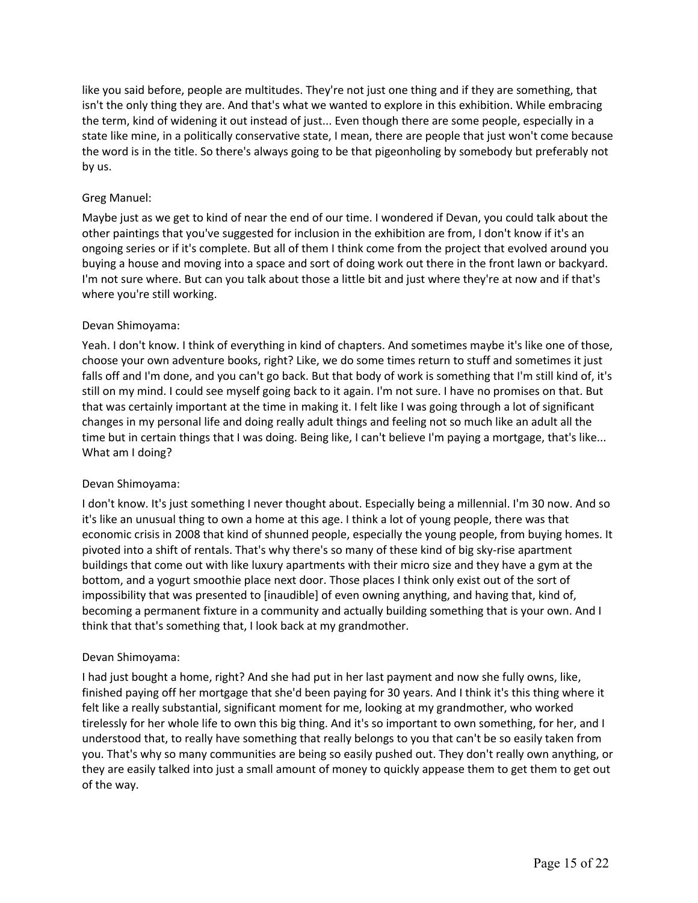like you said before, people are multitudes. They're not just one thing and if they are something, that isn't the only thing they are. And that's what we wanted to explore in this exhibition. While embracing the term, kind of widening it out instead of just... Even though there are some people, especially in a state like mine, in a politically conservative state, I mean, there are people that just won't come because the word is in the title. So there's always going to be that pigeonholing by somebody but preferably not by us.

## Greg Manuel:

Maybe just as we get to kind of near the end of our time. I wondered if Devan, you could talk about the other paintings that you've suggested for inclusion in the exhibition are from, I don't know if it's an ongoing series or if it's complete. But all of them I think come from the project that evolved around you buying a house and moving into a space and sort of doing work out there in the front lawn or backyard. I'm not sure where. But can you talk about those a little bit and just where they're at now and if that's where you're still working.

## Devan Shimoyama:

Yeah. I don't know. I think of everything in kind of chapters. And sometimes maybe it's like one of those, choose your own adventure books, right? Like, we do some times return to stuff and sometimes it just falls off and I'm done, and you can't go back. But that body of work is something that I'm still kind of, it's still on my mind. I could see myself going back to it again. I'm not sure. I have no promises on that. But that was certainly important at the time in making it. I felt like I was going through a lot of significant changes in my personal life and doing really adult things and feeling not so much like an adult all the time but in certain things that I was doing. Being like, I can't believe I'm paying a mortgage, that's like... What am I doing?

## Devan Shimoyama:

I don't know. It's just something I never thought about. Especially being a millennial. I'm 30 now. And so it's like an unusual thing to own a home at this age. I think a lot of young people, there was that economic crisis in 2008 that kind of shunned people, especially the young people, from buying homes. It pivoted into a shift of rentals. That's why there's so many of these kind of big sky-rise apartment buildings that come out with like luxury apartments with their micro size and they have a gym at the bottom, and a yogurt smoothie place next door. Those places I think only exist out of the sort of impossibility that was presented to [inaudible] of even owning anything, and having that, kind of, becoming a permanent fixture in a community and actually building something that is your own. And I think that that's something that, I look back at my grandmother.

## Devan Shimoyama:

I had just bought a home, right? And she had put in her last payment and now she fully owns, like, finished paying off her mortgage that she'd been paying for 30 years. And I think it's this thing where it felt like a really substantial, significant moment for me, looking at my grandmother, who worked tirelessly for her whole life to own this big thing. And it's so important to own something, for her, and I understood that, to really have something that really belongs to you that can't be so easily taken from you. That's why so many communities are being so easily pushed out. They don't really own anything, or they are easily talked into just a small amount of money to quickly appease them to get them to get out of the way.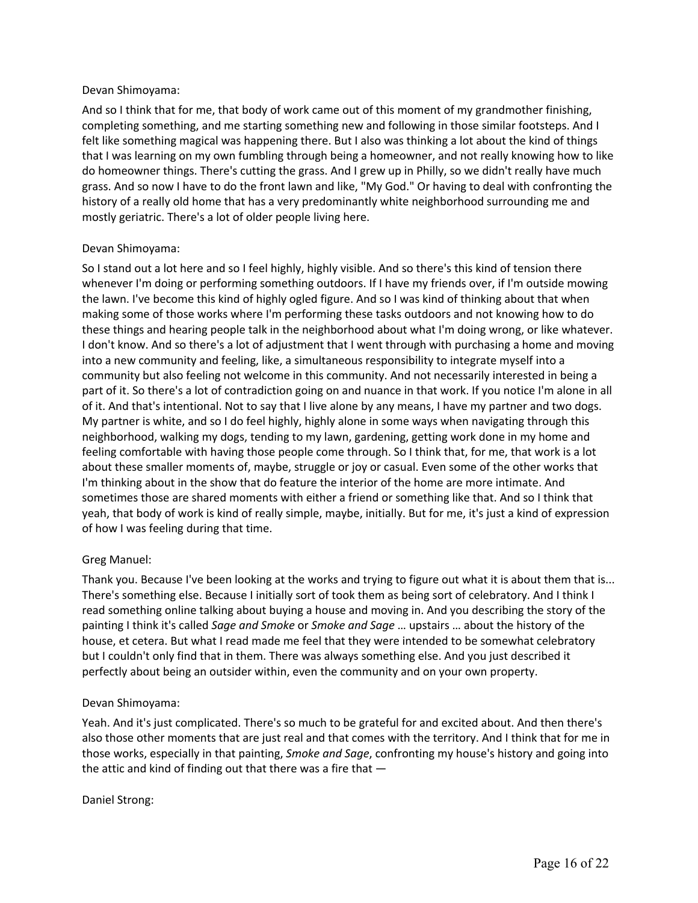### Devan Shimoyama:

And so I think that for me, that body of work came out of this moment of my grandmother finishing, completing something, and me starting something new and following in those similar footsteps. And I felt like something magical was happening there. But I also was thinking a lot about the kind of things that I was learning on my own fumbling through being a homeowner, and not really knowing how to like do homeowner things. There's cutting the grass. And I grew up in Philly, so we didn't really have much grass. And so now I have to do the front lawn and like, "My God." Or having to deal with confronting the history of a really old home that has a very predominantly white neighborhood surrounding me and mostly geriatric. There's a lot of older people living here.

## Devan Shimoyama:

So I stand out a lot here and so I feel highly, highly visible. And so there's this kind of tension there whenever I'm doing or performing something outdoors. If I have my friends over, if I'm outside mowing the lawn. I've become this kind of highly ogled figure. And so I was kind of thinking about that when making some of those works where I'm performing these tasks outdoors and not knowing how to do these things and hearing people talk in the neighborhood about what I'm doing wrong, or like whatever. I don't know. And so there's a lot of adjustment that I went through with purchasing a home and moving into a new community and feeling, like, a simultaneous responsibility to integrate myself into a community but also feeling not welcome in this community. And not necessarily interested in being a part of it. So there's a lot of contradiction going on and nuance in that work. If you notice I'm alone in all of it. And that's intentional. Not to say that I live alone by any means, I have my partner and two dogs. My partner is white, and so I do feel highly, highly alone in some ways when navigating through this neighborhood, walking my dogs, tending to my lawn, gardening, getting work done in my home and feeling comfortable with having those people come through. So I think that, for me, that work is a lot about these smaller moments of, maybe, struggle or joy or casual. Even some of the other works that I'm thinking about in the show that do feature the interior of the home are more intimate. And sometimes those are shared moments with either a friend or something like that. And so I think that yeah, that body of work is kind of really simple, maybe, initially. But for me, it's just a kind of expression of how I was feeling during that time.

## Greg Manuel:

Thank you. Because I've been looking at the works and trying to figure out what it is about them that is... There's something else. Because I initially sort of took them as being sort of celebratory. And I think I read something online talking about buying a house and moving in. And you describing the story of the painting I think it's called *Sage and Smoke* or *Smoke and Sage* … upstairs … about the history of the house, et cetera. But what I read made me feel that they were intended to be somewhat celebratory but I couldn't only find that in them. There was always something else. And you just described it perfectly about being an outsider within, even the community and on your own property.

## Devan Shimoyama:

Yeah. And it's just complicated. There's so much to be grateful for and excited about. And then there's also those other moments that are just real and that comes with the territory. And I think that for me in those works, especially in that painting, *Smoke and Sage*, confronting my house's history and going into the attic and kind of finding out that there was a fire that —

#### Daniel Strong: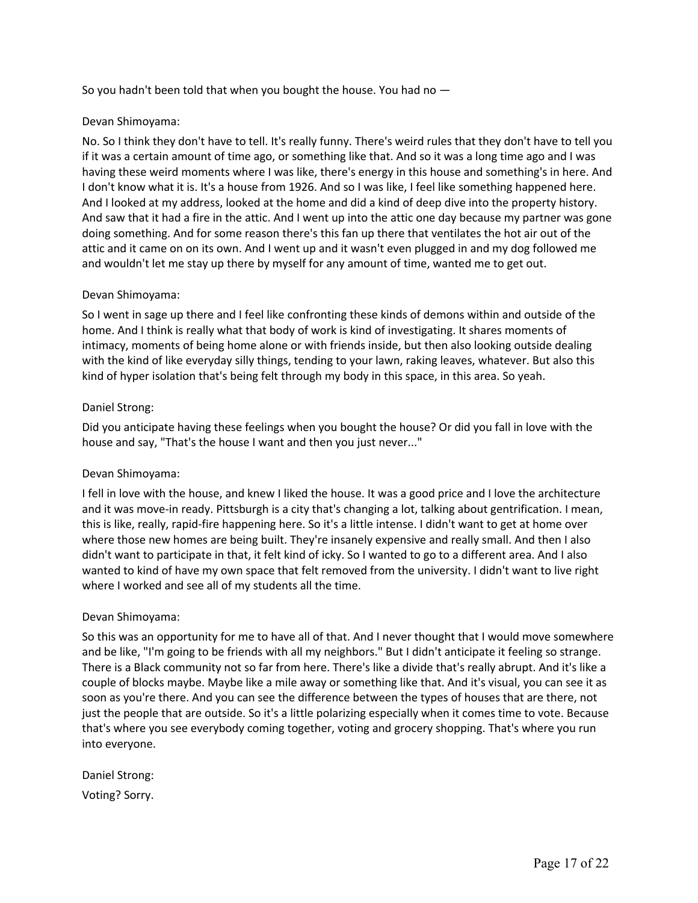## So you hadn't been told that when you bought the house. You had no —

### Devan Shimoyama:

No. So I think they don't have to tell. It's really funny. There's weird rules that they don't have to tell you if it was a certain amount of time ago, or something like that. And so it was a long time ago and I was having these weird moments where I was like, there's energy in this house and something's in here. And I don't know what it is. It's a house from 1926. And so I was like, I feel like something happened here. And I looked at my address, looked at the home and did a kind of deep dive into the property history. And saw that it had a fire in the attic. And I went up into the attic one day because my partner was gone doing something. And for some reason there's this fan up there that ventilates the hot air out of the attic and it came on on its own. And I went up and it wasn't even plugged in and my dog followed me and wouldn't let me stay up there by myself for any amount of time, wanted me to get out.

### Devan Shimoyama:

So I went in sage up there and I feel like confronting these kinds of demons within and outside of the home. And I think is really what that body of work is kind of investigating. It shares moments of intimacy, moments of being home alone or with friends inside, but then also looking outside dealing with the kind of like everyday silly things, tending to your lawn, raking leaves, whatever. But also this kind of hyper isolation that's being felt through my body in this space, in this area. So yeah.

### Daniel Strong:

Did you anticipate having these feelings when you bought the house? Or did you fall in love with the house and say, "That's the house I want and then you just never..."

## Devan Shimoyama:

I fell in love with the house, and knew I liked the house. It was a good price and I love the architecture and it was move-in ready. Pittsburgh is a city that's changing a lot, talking about gentrification. I mean, this is like, really, rapid-fire happening here. So it's a little intense. I didn't want to get at home over where those new homes are being built. They're insanely expensive and really small. And then I also didn't want to participate in that, it felt kind of icky. So I wanted to go to a different area. And I also wanted to kind of have my own space that felt removed from the university. I didn't want to live right where I worked and see all of my students all the time.

#### Devan Shimoyama:

So this was an opportunity for me to have all of that. And I never thought that I would move somewhere and be like, "I'm going to be friends with all my neighbors." But I didn't anticipate it feeling so strange. There is a Black community not so far from here. There's like a divide that's really abrupt. And it's like a couple of blocks maybe. Maybe like a mile away or something like that. And it's visual, you can see it as soon as you're there. And you can see the difference between the types of houses that are there, not just the people that are outside. So it's a little polarizing especially when it comes time to vote. Because that's where you see everybody coming together, voting and grocery shopping. That's where you run into everyone.

Daniel Strong: Voting? Sorry.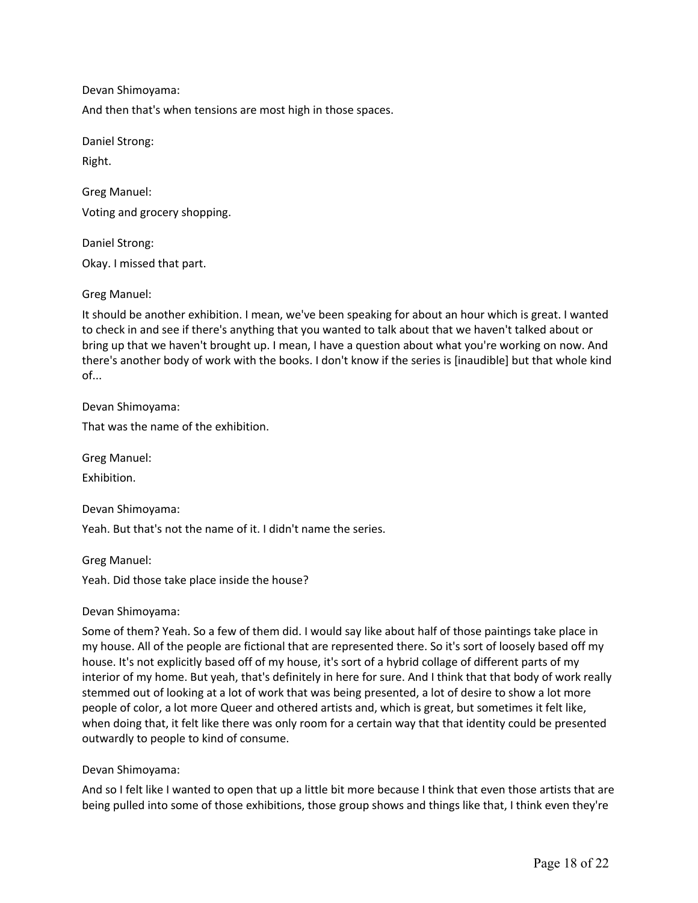Devan Shimoyama:

And then that's when tensions are most high in those spaces.

Daniel Strong: Right.

Greg Manuel: Voting and grocery shopping.

Daniel Strong: Okay. I missed that part.

## Greg Manuel:

It should be another exhibition. I mean, we've been speaking for about an hour which is great. I wanted to check in and see if there's anything that you wanted to talk about that we haven't talked about or bring up that we haven't brought up. I mean, I have a question about what you're working on now. And there's another body of work with the books. I don't know if the series is [inaudible] but that whole kind of...

Devan Shimoyama:

That was the name of the exhibition.

Greg Manuel:

Exhibition.

Devan Shimoyama:

Yeah. But that's not the name of it. I didn't name the series.

Greg Manuel:

Yeah. Did those take place inside the house?

## Devan Shimoyama:

Some of them? Yeah. So a few of them did. I would say like about half of those paintings take place in my house. All of the people are fictional that are represented there. So it's sort of loosely based off my house. It's not explicitly based off of my house, it's sort of a hybrid collage of different parts of my interior of my home. But yeah, that's definitely in here for sure. And I think that that body of work really stemmed out of looking at a lot of work that was being presented, a lot of desire to show a lot more people of color, a lot more Queer and othered artists and, which is great, but sometimes it felt like, when doing that, it felt like there was only room for a certain way that that identity could be presented outwardly to people to kind of consume.

#### Devan Shimoyama:

And so I felt like I wanted to open that up a little bit more because I think that even those artists that are being pulled into some of those exhibitions, those group shows and things like that, I think even they're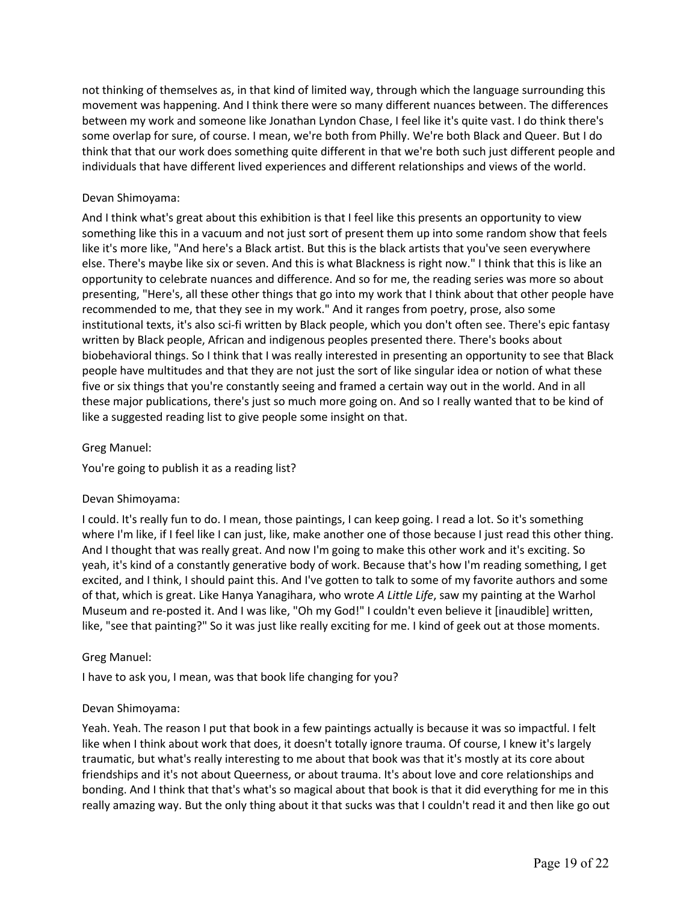not thinking of themselves as, in that kind of limited way, through which the language surrounding this movement was happening. And I think there were so many different nuances between. The differences between my work and someone like Jonathan Lyndon Chase, I feel like it's quite vast. I do think there's some overlap for sure, of course. I mean, we're both from Philly. We're both Black and Queer. But I do think that that our work does something quite different in that we're both such just different people and individuals that have different lived experiences and different relationships and views of the world.

## Devan Shimoyama:

And I think what's great about this exhibition is that I feel like this presents an opportunity to view something like this in a vacuum and not just sort of present them up into some random show that feels like it's more like, "And here's a Black artist. But this is the black artists that you've seen everywhere else. There's maybe like six or seven. And this is what Blackness is right now." I think that this is like an opportunity to celebrate nuances and difference. And so for me, the reading series was more so about presenting, "Here's, all these other things that go into my work that I think about that other people have recommended to me, that they see in my work." And it ranges from poetry, prose, also some institutional texts, it's also sci-fi written by Black people, which you don't often see. There's epic fantasy written by Black people, African and indigenous peoples presented there. There's books about biobehavioral things. So I think that I was really interested in presenting an opportunity to see that Black people have multitudes and that they are not just the sort of like singular idea or notion of what these five or six things that you're constantly seeing and framed a certain way out in the world. And in all these major publications, there's just so much more going on. And so I really wanted that to be kind of like a suggested reading list to give people some insight on that.

## Greg Manuel:

You're going to publish it as a reading list?

# Devan Shimoyama:

I could. It's really fun to do. I mean, those paintings, I can keep going. I read a lot. So it's something where I'm like, if I feel like I can just, like, make another one of those because I just read this other thing. And I thought that was really great. And now I'm going to make this other work and it's exciting. So yeah, it's kind of a constantly generative body of work. Because that's how I'm reading something, I get excited, and I think, I should paint this. And I've gotten to talk to some of my favorite authors and some of that, which is great. Like Hanya Yanagihara, who wrote *A Little Life*, saw my painting at the Warhol Museum and re-posted it. And I was like, "Oh my God!" I couldn't even believe it [inaudible] written, like, "see that painting?" So it was just like really exciting for me. I kind of geek out at those moments.

## Greg Manuel:

I have to ask you, I mean, was that book life changing for you?

## Devan Shimoyama:

Yeah. Yeah. The reason I put that book in a few paintings actually is because it was so impactful. I felt like when I think about work that does, it doesn't totally ignore trauma. Of course, I knew it's largely traumatic, but what's really interesting to me about that book was that it's mostly at its core about friendships and it's not about Queerness, or about trauma. It's about love and core relationships and bonding. And I think that that's what's so magical about that book is that it did everything for me in this really amazing way. But the only thing about it that sucks was that I couldn't read it and then like go out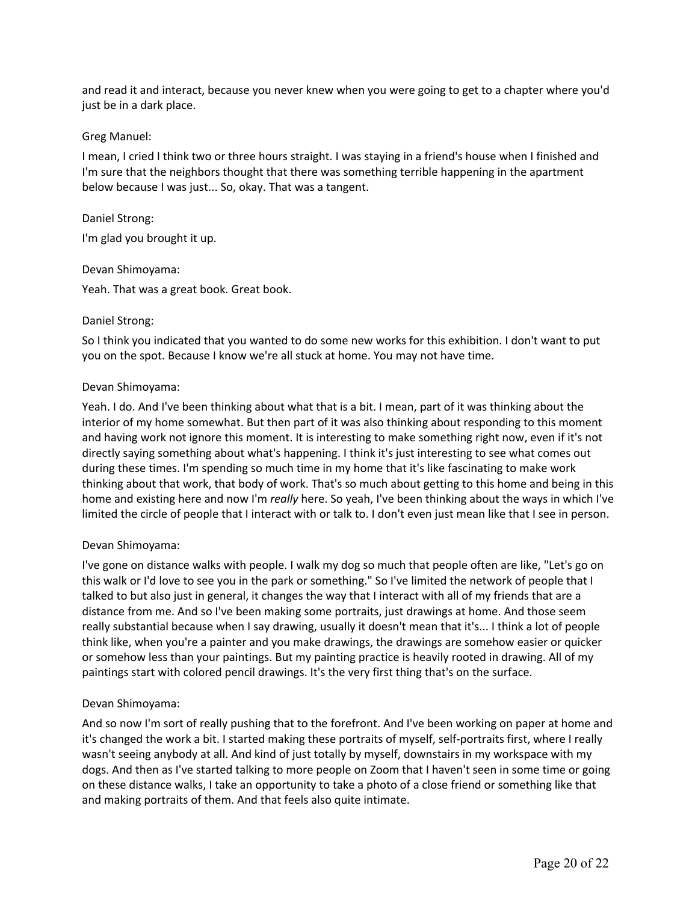and read it and interact, because you never knew when you were going to get to a chapter where you'd just be in a dark place.

### Greg Manuel:

I mean, I cried I think two or three hours straight. I was staying in a friend's house when I finished and I'm sure that the neighbors thought that there was something terrible happening in the apartment below because I was just... So, okay. That was a tangent.

### Daniel Strong:

I'm glad you brought it up.

### Devan Shimoyama:

Yeah. That was a great book. Great book.

### Daniel Strong:

So I think you indicated that you wanted to do some new works for this exhibition. I don't want to put you on the spot. Because I know we're all stuck at home. You may not have time.

### Devan Shimoyama:

Yeah. I do. And I've been thinking about what that is a bit. I mean, part of it was thinking about the interior of my home somewhat. But then part of it was also thinking about responding to this moment and having work not ignore this moment. It is interesting to make something right now, even if it's not directly saying something about what's happening. I think it's just interesting to see what comes out during these times. I'm spending so much time in my home that it's like fascinating to make work thinking about that work, that body of work. That's so much about getting to this home and being in this home and existing here and now I'm *really* here. So yeah, I've been thinking about the ways in which I've limited the circle of people that I interact with or talk to. I don't even just mean like that I see in person.

## Devan Shimoyama:

I've gone on distance walks with people. I walk my dog so much that people often are like, "Let's go on this walk or I'd love to see you in the park or something." So I've limited the network of people that I talked to but also just in general, it changes the way that I interact with all of my friends that are a distance from me. And so I've been making some portraits, just drawings at home. And those seem really substantial because when I say drawing, usually it doesn't mean that it's... I think a lot of people think like, when you're a painter and you make drawings, the drawings are somehow easier or quicker or somehow less than your paintings. But my painting practice is heavily rooted in drawing. All of my paintings start with colored pencil drawings. It's the very first thing that's on the surface.

## Devan Shimoyama:

And so now I'm sort of really pushing that to the forefront. And I've been working on paper at home and it's changed the work a bit. I started making these portraits of myself, self-portraits first, where I really wasn't seeing anybody at all. And kind of just totally by myself, downstairs in my workspace with my dogs. And then as I've started talking to more people on Zoom that I haven't seen in some time or going on these distance walks, I take an opportunity to take a photo of a close friend or something like that and making portraits of them. And that feels also quite intimate.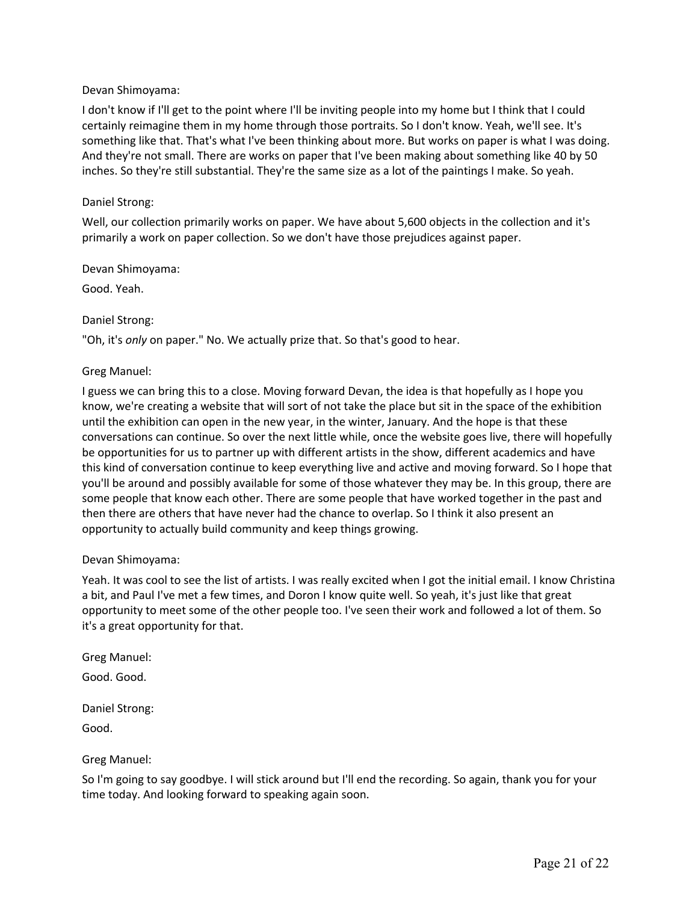## Devan Shimoyama:

I don't know if I'll get to the point where I'll be inviting people into my home but I think that I could certainly reimagine them in my home through those portraits. So I don't know. Yeah, we'll see. It's something like that. That's what I've been thinking about more. But works on paper is what I was doing. And they're not small. There are works on paper that I've been making about something like 40 by 50 inches. So they're still substantial. They're the same size as a lot of the paintings I make. So yeah.

### Daniel Strong:

Well, our collection primarily works on paper. We have about 5,600 objects in the collection and it's primarily a work on paper collection. So we don't have those prejudices against paper.

Devan Shimoyama:

Good. Yeah.

### Daniel Strong:

"Oh, it's *only* on paper." No. We actually prize that. So that's good to hear.

### Greg Manuel:

I guess we can bring this to a close. Moving forward Devan, the idea is that hopefully as I hope you know, we're creating a website that will sort of not take the place but sit in the space of the exhibition until the exhibition can open in the new year, in the winter, January. And the hope is that these conversations can continue. So over the next little while, once the website goes live, there will hopefully be opportunities for us to partner up with different artists in the show, different academics and have this kind of conversation continue to keep everything live and active and moving forward. So I hope that you'll be around and possibly available for some of those whatever they may be. In this group, there are some people that know each other. There are some people that have worked together in the past and then there are others that have never had the chance to overlap. So I think it also present an opportunity to actually build community and keep things growing.

#### Devan Shimoyama:

Yeah. It was cool to see the list of artists. I was really excited when I got the initial email. I know Christina a bit, and Paul I've met a few times, and Doron I know quite well. So yeah, it's just like that great opportunity to meet some of the other people too. I've seen their work and followed a lot of them. So it's a great opportunity for that.

Greg Manuel:

Good. Good.

Daniel Strong:

Good.

## Greg Manuel:

So I'm going to say goodbye. I will stick around but I'll end the recording. So again, thank you for your time today. And looking forward to speaking again soon.